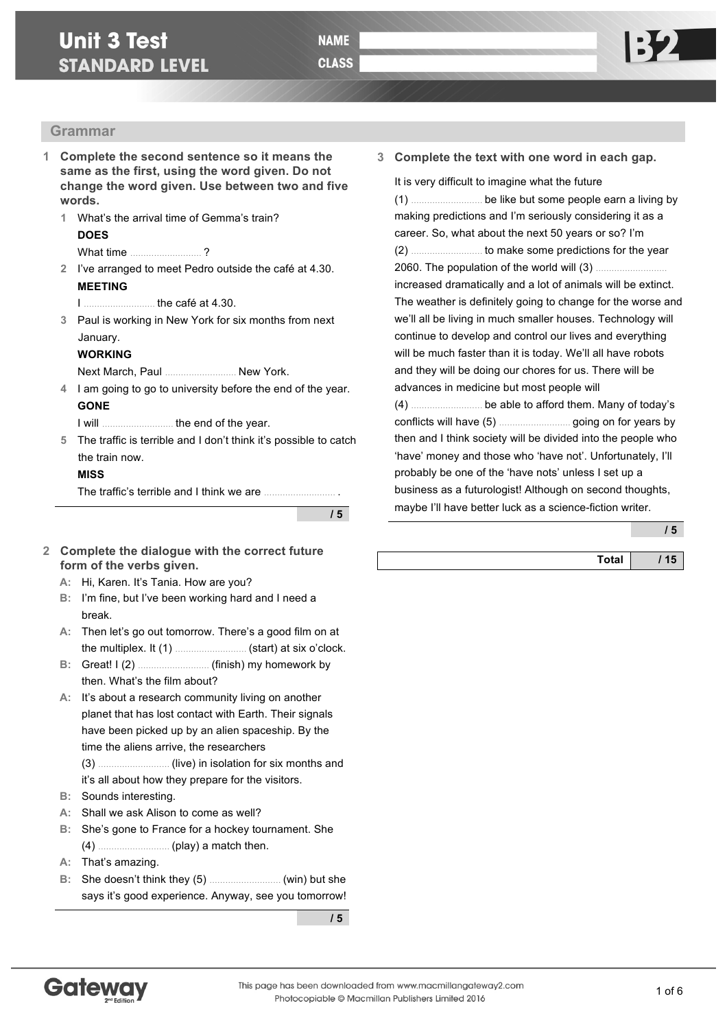# **Unit 3 Test STANDARD LEVEL**

#### **Grammar**

- **1 Complete the second sentence so it means the same as the first, using the word given. Do not change the word given. Use between two and five words.**
	- **1** What's the arrival time of Gemma's train? **DOES**

#### What time **2**

- **2** I've arranged to meet Pedro outside the café at 4.30. **MEETING**
	- I ……………………… the café at 4.30.
- **3** Paul is working in New York for six months from next January.

#### **WORKING**

Next March, Paul ……………………… New York.

**4** I am going to go to university before the end of the year. **GONE**

I will ……………………… the end of the year.

**5** The traffic is terrible and I don't think it's possible to catch the train now.

#### **MISS**

The traffic's terrible and I think we are ....

**/ 5**

- **2 Complete the dialogue with the correct future form of the verbs given.**
	- **A:** Hi, Karen. It's Tania. How are you?
	- **B:** I'm fine, but I've been working hard and I need a break.
	- **A:** Then let's go out tomorrow. There's a good film on at the multiplex. It (1) ……………………… (start) at six o'clock.
	- **B:** Great! I (2) ……………………… (finish) my homework by then. What's the film about?

**A:** It's about a research community living on another planet that has lost contact with Earth. Their signals have been picked up by an alien spaceship. By the time the aliens arrive, the researchers (3) ……………………… (live) in isolation for six months and

- it's all about how they prepare for the visitors.
- **B:** Sounds interesting.
- **A:** Shall we ask Alison to come as well?
- **B:** She's gone to France for a hockey tournament. She (4) ……………………… (play) a match then.
- **A:** That's amazing.
- **B:** She doesn't think they (5) ……………………… (win) but she says it's good experience. Anyway, see you tomorrow!

**/ 5**

**3 Complete the text with one word in each gap.**

It is very difficult to imagine what the future (1) ……………………… be like but some people earn a living by making predictions and I'm seriously considering it as a career. So, what about the next 50 years or so? I'm (2) ……………………… to make some predictions for the year 2060. The population of the world will (3) ……………………… increased dramatically and a lot of animals will be extinct. The weather is definitely going to change for the worse and we'll all be living in much smaller houses. Technology will continue to develop and control our lives and everything will be much faster than it is today. We'll all have robots and they will be doing our chores for us. There will be advances in medicine but most people will (4) ……………………… be able to afford them. Many of today's conflicts will have (5) ……………………… going on for years by

then and I think society will be divided into the people who 'have' money and those who 'have not'. Unfortunately, I'll probably be one of the 'have nots' unless I set up a business as a futurologist! Although on second thoughts, maybe I'll have better luck as a science-fiction writer.

**/ 5**

| Total |  |
|-------|--|

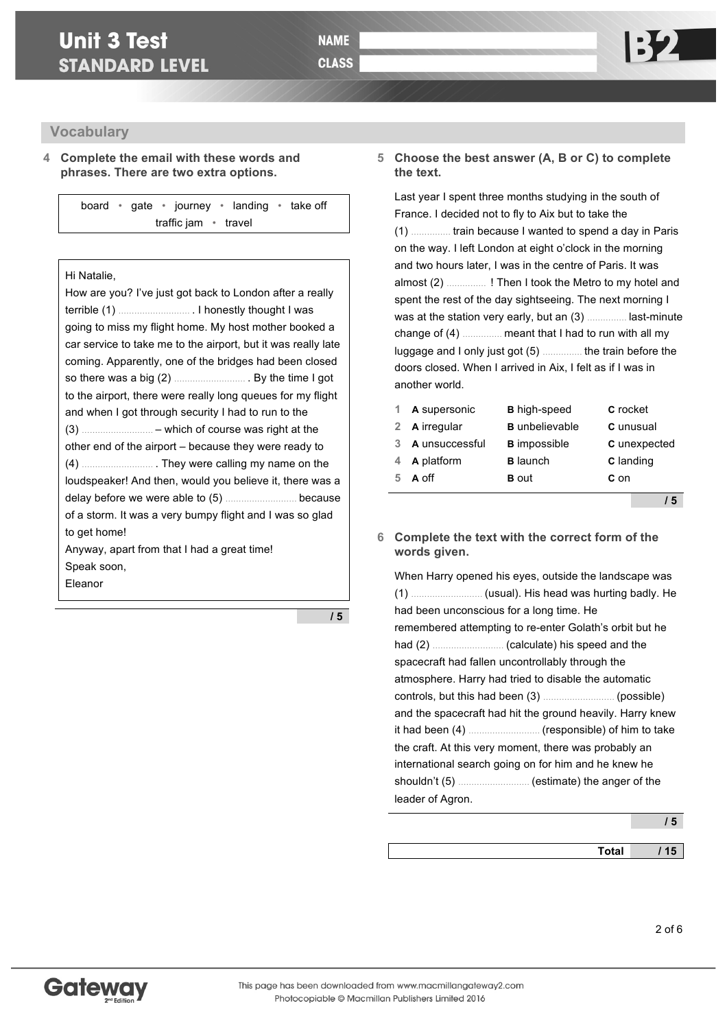# **Unit 3 Test STANDARD LEVEL**

### **Vocabulary**

**4 Complete the email with these words and phrases. There are two extra options.**

board • gate • journey • landing • take off traffic jam • travel

#### Hi Natalie,

How are you? I've just got back to London after a really terrible (1) ……………………… . I honestly thought I was going to miss my flight home. My host mother booked a car service to take me to the airport, but it was really late coming. Apparently, one of the bridges had been closed so there was a big (2) ……………………… . By the time I got to the airport, there were really long queues for my flight and when I got through security I had to run to the (3) ……………………… – which of course was right at the other end of the airport – because they were ready to (4) ……………………… . They were calling my name on the loudspeaker! And then, would you believe it, there was a delay before we were able to (5) ……………………… because of a storm. It was a very bumpy flight and I was so glad to get home! Anyway, apart from that I had a great time! Speak soon, Eleanor

**/ 5**

#### **5 Choose the best answer (A, B or C) to complete the text.**

Last year I spent three months studying in the south of France. I decided not to fly to Aix but to take the (1) …………… train because I wanted to spend a day in Paris on the way. I left London at eight o'clock in the morning and two hours later, I was in the centre of Paris. It was almost (2) …………… ! Then I took the Metro to my hotel and spent the rest of the day sightseeing. The next morning I was at the station very early, but an (3) …………… last-minute change of (4) …………… meant that I had to run with all my luggage and I only just got (5) …………… the train before the doors closed. When I arrived in Aix, I felt as if I was in another world.

|   | 1 A supersonic | <b>B</b> high-speed   | <b>C</b> rocket  |
|---|----------------|-----------------------|------------------|
|   | 2 A irregular  | <b>B</b> unbelievable | C unusual        |
| 3 | A unsuccessful | <b>B</b> impossible   | C unexpected     |
| 4 | A platform     | <b>B</b> launch       | <b>C</b> landing |
| 5 | A off          | <b>B</b> out          | $c_{0n}$         |

**/ 5**

#### **6 Complete the text with the correct form of the words given.**

When Harry opened his eyes, outside the landscape was (1) ……………………… (usual). His head was hurting badly. He had been unconscious for a long time. He remembered attempting to re-enter Golath's orbit but he had (2) ……………………… (calculate) his speed and the spacecraft had fallen uncontrollably through the atmosphere. Harry had tried to disable the automatic controls, but this had been (3) ……………………… (possible) and the spacecraft had hit the ground heavily. Harry knew it had been (4) ……………………… (responsible) of him to take the craft. At this very moment, there was probably an international search going on for him and he knew he shouldn't (5) ……………………… (estimate) the anger of the leader of Agron.

| <b>Total</b> | 15 |
|--------------|----|
|              |    |

**/ 5**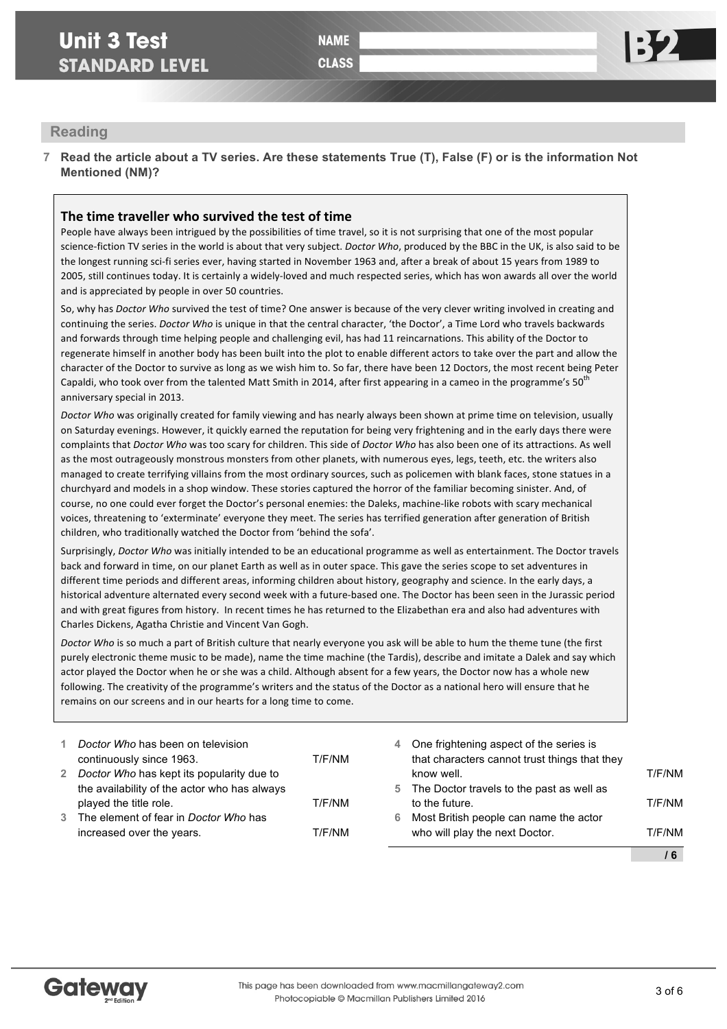## **Reading**

**7 Read the article about a TV series. Are these statements True (T), False (F) or is the information Not Mentioned (NM)?**

## **The time traveller who survived the test of time**

People have always been intrigued by the possibilities of time travel, so it is not surprising that one of the most popular science-fiction TV series in the world is about that very subject. *Doctor Who*, produced by the BBC in the UK, is also said to be the longest running sci-fi series ever, having started in November 1963 and, after a break of about 15 years from 1989 to 2005, still continues today. It is certainly a widely-loved and much respected series, which has won awards all over the world and is appreciated by people in over 50 countries.

So, why has *Doctor Who* survived the test of time? One answer is because of the very clever writing involved in creating and continuing the series. *Doctor Who* is unique in that the central character, 'the Doctor', a Time Lord who travels backwards and forwards through time helping people and challenging evil, has had 11 reincarnations. This ability of the Doctor to regenerate himself in another body has been built into the plot to enable different actors to take over the part and allow the character of the Doctor to survive as long as we wish him to. So far, there have been 12 Doctors, the most recent being Peter Capaldi, who took over from the talented Matt Smith in 2014, after first appearing in a cameo in the programme's 50<sup>th</sup> anniversary special in 2013.

*Doctor* Who was originally created for family viewing and has nearly always been shown at prime time on television, usually on Saturday evenings. However, it quickly earned the reputation for being very frightening and in the early days there were complaints that *Doctor Who* was too scary for children. This side of *Doctor Who* has also been one of its attractions. As well as the most outrageously monstrous monsters from other planets, with numerous eyes, legs, teeth, etc. the writers also managed to create terrifying villains from the most ordinary sources, such as policemen with blank faces, stone statues in a churchyard and models in a shop window. These stories captured the horror of the familiar becoming sinister. And, of course, no one could ever forget the Doctor's personal enemies: the Daleks, machine-like robots with scary mechanical voices, threatening to 'exterminate' everyone they meet. The series has terrified generation after generation of British children, who traditionally watched the Doctor from 'behind the sofa'.

Surprisingly, Doctor Who was initially intended to be an educational programme as well as entertainment. The Doctor travels back and forward in time, on our planet Earth as well as in outer space. This gave the series scope to set adventures in different time periods and different areas, informing children about history, geography and science. In the early days, a historical adventure alternated every second week with a future-based one. The Doctor has been seen in the Jurassic period and with great figures from history. In recent times he has returned to the Elizabethan era and also had adventures with Charles Dickens, Agatha Christie and Vincent Van Gogh.

*Doctor* Who is so much a part of British culture that nearly everyone you ask will be able to hum the theme tune (the first purely electronic theme music to be made), name the time machine (the Tardis), describe and imitate a Dalek and say which actor played the Doctor when he or she was a child. Although absent for a few years, the Doctor now has a whole new following. The creativity of the programme's writers and the status of the Doctor as a national hero will ensure that he remains on our screens and in our hearts for a long time to come.

| increased over the years.                    | T/F/NM |    | who will play the next Doctor.                | T/F/NM |
|----------------------------------------------|--------|----|-----------------------------------------------|--------|
| 3 The element of fear in Doctor Who has      |        | 6  | Most British people can name the actor        |        |
| played the title role.                       | T/F/NM |    | to the future.                                | T/F/NM |
| the availability of the actor who has always |        | 5. | The Doctor travels to the past as well as     |        |
| 2 Doctor Who has kept its popularity due to  |        |    | know well.                                    | T/F/NM |
| continuously since 1963.                     | T/F/NM |    | that characters cannot trust things that they |        |
| Doctor Who has been on television            |        | 4  | One frightening aspect of the series is       |        |
|                                              |        |    |                                               |        |

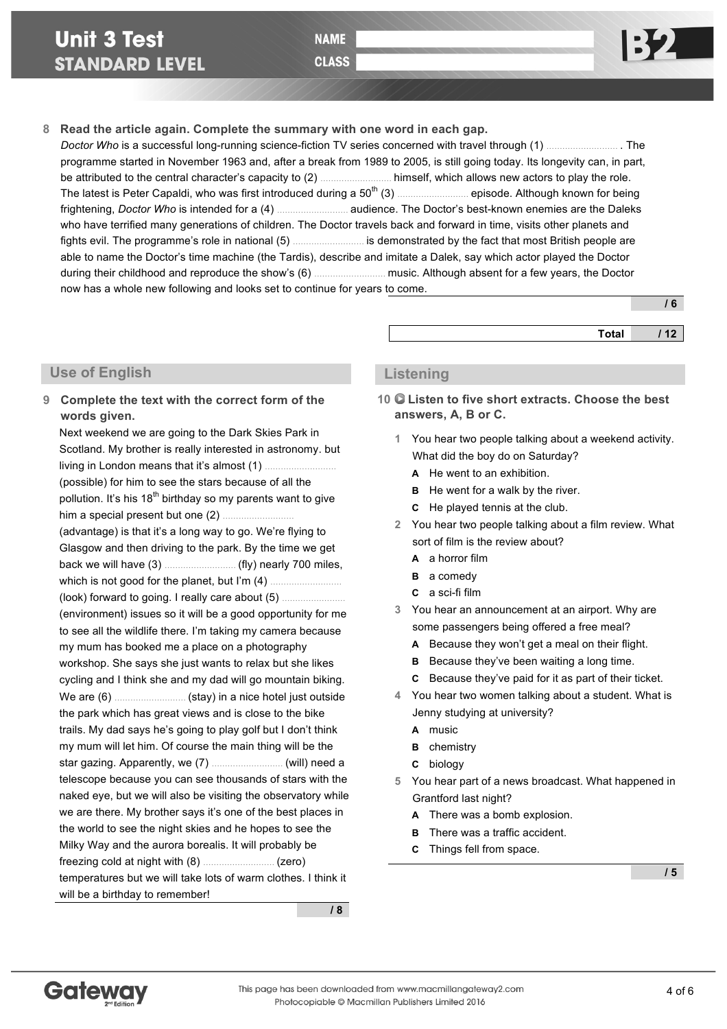**CLASS** 



# **8 Read the article again. Complete the summary with one word in each gap.**

*Doctor Who* is a successful long-running science-fiction TV series concerned with travel through (1) ……………………… . The programme started in November 1963 and, after a break from 1989 to 2005, is still going today. Its longevity can, in part, be attributed to the central character's capacity to (2) ……………………… himself, which allows new actors to play the role. The latest is Peter Capaldi, who was first introduced during a  $50^{th}$  (3) ……………………… episode. Although known for being frightening, *Doctor Who* is intended for a (4) ……………………… audience. The Doctor's best-known enemies are the Daleks who have terrified many generations of children. The Doctor travels back and forward in time, visits other planets and fights evil. The programme's role in national (5) ……………………… is demonstrated by the fact that most British people are able to name the Doctor's time machine (the Tardis), describe and imitate a Dalek, say which actor played the Doctor during their childhood and reproduce the show's (6) ……………………… music. Although absent for a few years, the Doctor now has a whole new following and looks set to continue for years to come.

|              | $^{\prime}$ 6 |
|--------------|---------------|
| <b>Total</b> | 112           |

### **Use of English**

**9 Complete the text with the correct form of the words given.** Next weekend we are going to the Dark Skies Park in Scotland. My brother is really interested in astronomy. but living in London means that it's almost (1). (possible) for him to see the stars because of all the pollution. It's his  $18<sup>th</sup>$  birthday so my parents want to give him a special present but one (2) ……………………… (advantage) is that it's a long way to go. We're flying to Glasgow and then driving to the park. By the time we get back we will have (3) ……………………… (fly) nearly 700 miles, which is not good for the planet, but I'm (4) ……………………… (look) forward to going. I really care about (5) …………………… (environment) issues so it will be a good opportunity for me to see all the wildlife there. I'm taking my camera because my mum has booked me a place on a photography workshop. She says she just wants to relax but she likes cycling and I think she and my dad will go mountain biking. We are (6) ……………………… (stay) in a nice hotel just outside the park which has great views and is close to the bike trails. My dad says he's going to play golf but I don't think my mum will let him. Of course the main thing will be the star gazing. Apparently, we (7) ……………………… (will) need a telescope because you can see thousands of stars with the naked eye, but we will also be visiting the observatory while we are there. My brother says it's one of the best places in

the world to see the night skies and he hopes to see the Milky Way and the aurora borealis. It will probably be freezing cold at night with (8) ……………………… (zero) temperatures but we will take lots of warm clothes. I think it will be a birthday to remember!

**/ 8**

## **Listening**

- **10 Listen to five short extracts. Choose the best answers, A, B or C.**
	- **1** You hear two people talking about a weekend activity. What did the boy do on Saturday?
		- **A** He went to an exhibition.
		- **B** He went for a walk by the river.
		- **C** He played tennis at the club.
	- **2** You hear two people talking about a film review. What sort of film is the review about?
		- **A** a horror film
		- **B** a comedy
		- **C** a sci-fi film
	- **3** You hear an announcement at an airport. Why are some passengers being offered a free meal?
		- **A** Because they won't get a meal on their flight.
		- **B** Because they've been waiting a long time.
		- **C** Because they've paid for it as part of their ticket.
	- **4** You hear two women talking about a student. What is Jenny studying at university?
		- **A** music
		- **B** chemistry
		- **C** biology
	- **5** You hear part of a news broadcast. What happened in Grantford last night?
		- **A** There was a bomb explosion.
		- **B** There was a traffic accident.
		- **C** Things fell from space.

**/ 5**

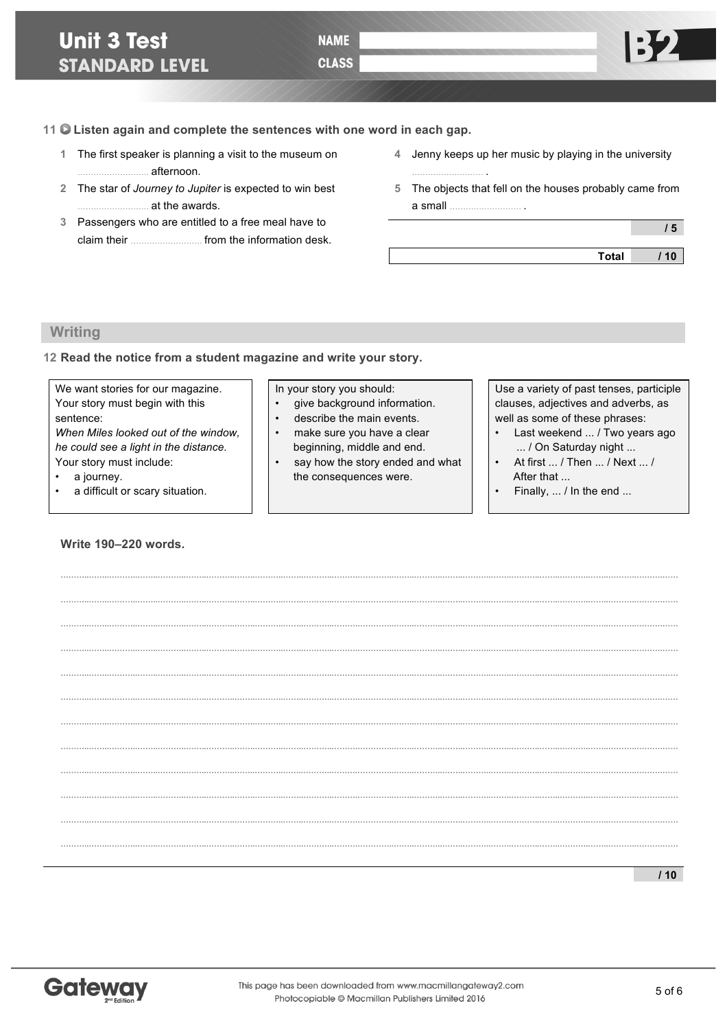**11 Listen again and complete the sentences with one word in each gap.**

- **1** The first speaker is planning a visit to the museum on ……………………… afternoon.
- **2** The star of *Journey to Jupiter* is expected to win best ……………………… at the awards.
- **3** Passengers who are entitled to a free meal have to claim their ……………………… from the information desk.
- **4** Jenny keeps up her music by playing in the university
- **5** The objects that fell on the houses probably came from a small ……………………… .

 **/ 5 Total / 10**

## **Writing**

#### **12 Read the notice from a student magazine and write your story.**

| We want stories for our magazine.     |  | In your story you should:        | Use a variety of past tenses, participle |
|---------------------------------------|--|----------------------------------|------------------------------------------|
| Your story must begin with this       |  | give background information.     | clauses, adjectives and adverbs, as      |
| sentence:                             |  | describe the main events.        | well as some of these phrases:           |
| When Miles looked out of the window,  |  | make sure you have a clear       | Last weekend  / Two years ago            |
| he could see a light in the distance. |  | beginning, middle and end.       | / On Saturday night                      |
| Your story must include:              |  | say how the story ended and what | At first  / Then  / Next  /              |
| a journey.                            |  | the consequences were.           | After that                               |
| a difficult or scary situation.       |  |                                  | Finally, $\dots$ / In the end $\dots$    |

### **Write 190–220 words.**

| 10 |
|----|